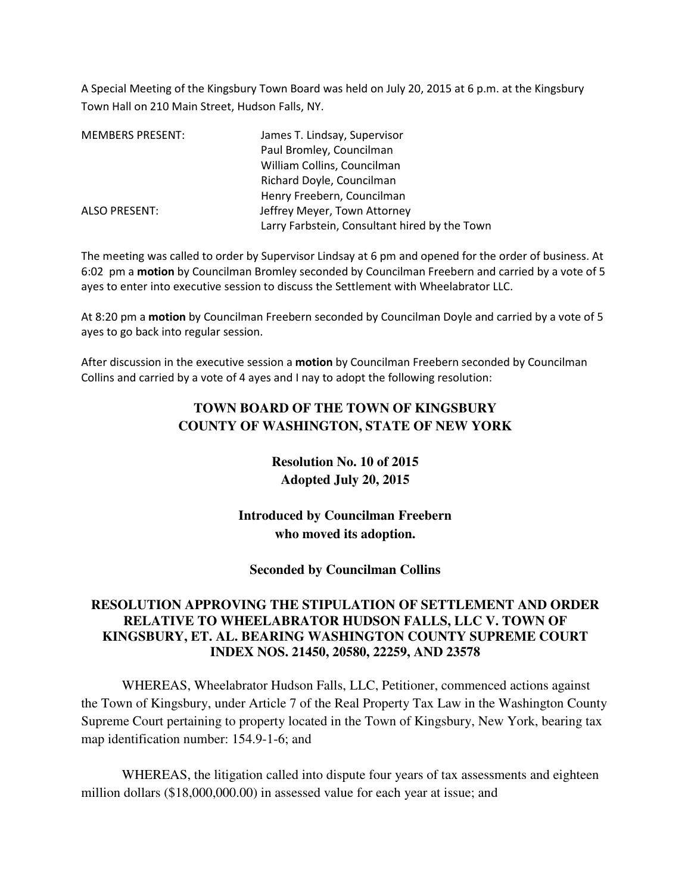A Special Meeting of the Kingsbury Town Board was held on July 20, 2015 at 6 p.m. at the Kingsbury Town Hall on 210 Main Street, Hudson Falls, NY.

| <b>MEMBERS PRESENT:</b> | James T. Lindsay, Supervisor                  |
|-------------------------|-----------------------------------------------|
|                         | Paul Bromley, Councilman                      |
|                         | William Collins, Councilman                   |
|                         | Richard Doyle, Councilman                     |
|                         | Henry Freebern, Councilman                    |
| <b>ALSO PRESENT:</b>    | Jeffrey Meyer, Town Attorney                  |
|                         | Larry Farbstein, Consultant hired by the Town |

The meeting was called to order by Supervisor Lindsay at 6 pm and opened for the order of business. At 6:02 pm a **motion** by Councilman Bromley seconded by Councilman Freebern and carried by a vote of 5 ayes to enter into executive session to discuss the Settlement with Wheelabrator LLC.

At 8:20 pm a **motion** by Councilman Freebern seconded by Councilman Doyle and carried by a vote of 5 ayes to go back into regular session.

After discussion in the executive session a **motion** by Councilman Freebern seconded by Councilman Collins and carried by a vote of 4 ayes and I nay to adopt the following resolution:

## **TOWN BOARD OF THE TOWN OF KINGSBURY COUNTY OF WASHINGTON, STATE OF NEW YORK**

**Resolution No. 10 of 2015 Adopted July 20, 2015** 

**Introduced by Councilman Freebern who moved its adoption.** 

**Seconded by Councilman Collins** 

## **RESOLUTION APPROVING THE STIPULATION OF SETTLEMENT AND ORDER RELATIVE TO WHEELABRATOR HUDSON FALLS, LLC V. TOWN OF KINGSBURY, ET. AL. BEARING WASHINGTON COUNTY SUPREME COURT INDEX NOS. 21450, 20580, 22259, AND 23578**

WHEREAS, Wheelabrator Hudson Falls, LLC, Petitioner, commenced actions against the Town of Kingsbury, under Article 7 of the Real Property Tax Law in the Washington County Supreme Court pertaining to property located in the Town of Kingsbury, New York, bearing tax map identification number: 154.9-1-6; and

WHEREAS, the litigation called into dispute four years of tax assessments and eighteen million dollars (\$18,000,000.00) in assessed value for each year at issue; and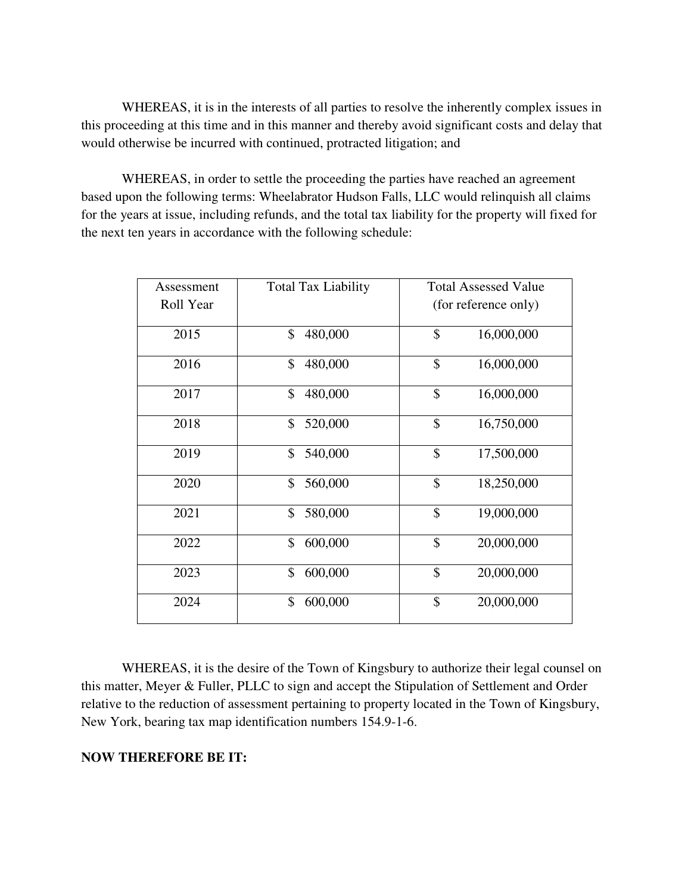WHEREAS, it is in the interests of all parties to resolve the inherently complex issues in this proceeding at this time and in this manner and thereby avoid significant costs and delay that would otherwise be incurred with continued, protracted litigation; and

WHEREAS, in order to settle the proceeding the parties have reached an agreement based upon the following terms: Wheelabrator Hudson Falls, LLC would relinquish all claims for the years at issue, including refunds, and the total tax liability for the property will fixed for the next ten years in accordance with the following schedule:

| Assessment | <b>Total Tax Liability</b> | <b>Total Assessed Value</b> |
|------------|----------------------------|-----------------------------|
| Roll Year  |                            | (for reference only)        |
| 2015       | \$<br>480,000              | \$<br>16,000,000            |
| 2016       | \$<br>480,000              | \$<br>16,000,000            |
| 2017       | \$<br>480,000              | \$<br>16,000,000            |
| 2018       | \$<br>520,000              | \$<br>16,750,000            |
| 2019       | 540,000<br>\$              | \$<br>17,500,000            |
| 2020       | 560,000<br>\$              | $\mathcal{S}$<br>18,250,000 |
| 2021       | \$<br>580,000              | \$<br>19,000,000            |
| 2022       | \$<br>600,000              | \$<br>20,000,000            |
| 2023       | 600,000<br>\$              | \$<br>20,000,000            |
| 2024       | \$<br>600,000              | \$<br>20,000,000            |

WHEREAS, it is the desire of the Town of Kingsbury to authorize their legal counsel on this matter, Meyer & Fuller, PLLC to sign and accept the Stipulation of Settlement and Order relative to the reduction of assessment pertaining to property located in the Town of Kingsbury, New York, bearing tax map identification numbers 154.9-1-6.

## **NOW THEREFORE BE IT:**